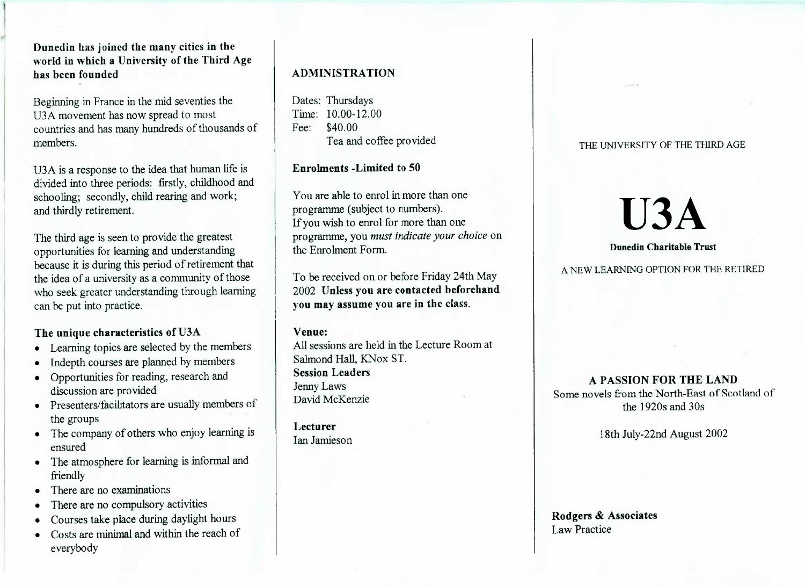**Dunedin has joined the many cities in the world in which a University of the Third Agehas been founded**

Beginning in France in the mid seventies theU3A movement has now spread to most countries and has many hundreds of thousands ofmembers.

U3A is a response to the idea that human life is divided into three periods: firstly, childhood andschooling; secondly, child rearing and work;and thirdly retirement.

The third age is seen to provide the greatest opportunities for learning and understanding because it is during this period of retirement thatthe idea of a university as a community of those who seek greater understanding through learningcan be put into practice.

# **The unique characteristics of U3A**

- Learning topics are selected by the members
- Indepth courses are planned by members
- Opportunities for reading, research anddiscussion are provided
- Presenters/facilitators are usually members ofthe groups
- The company of others who enjoy learning isensured
- The atmosphere for learning is informal andfriendly
- There are no examinations
- There are no compulsory activities
- Courses take place during daylight hours
- Costs are minimal and within the reach ofeverybody

# **ADMINISTRATION**

Dates: Thursdays Time: 10.00-12.00Fee: \$40.00rea and corree provided

**Enrolments -Limited to 50**

You are able to enrol in more than oneprogramme (subject to numbers). If you wish to enrol for more than one programme, you *must indicate your choice* onthe Enrolment Form.

To be received on or before Friday 24th May 2002 **Unless you are contacted beforehandyou may assume you are in the class.**

#### **Venue:**

 All sessions are held in the Lecture Room atSalmond Hall, KNox ST.**Session Leaders**Jenny LawsDavid McKenzie

**Lecturer**Ian Jamieson

## THE UNIVERSITY OF THE THIRD AGE

# USA

#### **Dunedin Charitable Trust**

A NEW LEARNING OPTION FOR THE RETIRED

**A PASSION FOR THE LAND** Some novels from the North-East of Scotland ofthe 1920s and 30s

18th July-22nd August 2002

Rodgers **& Associates**Law Practice